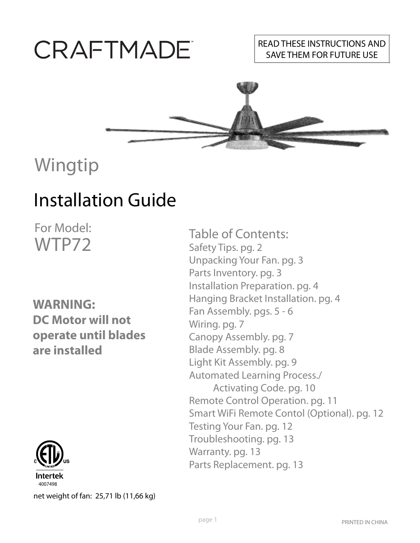# CRAFTMADE

#### READ THESE INSTRUCTIONS AND SAVE THEM FOR FUTURE USE



# Wingtip

## Installation Guide

For Model: WTP72

#### **WARNING: DC Motor will not operate until blades are installed**



net weight of fan: 25,71 lb (11,66 kg)

Table of Contents: Safety Tips. pg. 2 Unpacking Your Fan. pg. 3 Parts Inventory. pg. 3 Installation Preparation. pg. 4 Hanging Bracket Installation. pg. 4 Fan Assembly. pgs. 5 - 6 Wiring. pg. 7 Canopy Assembly. pg. 7 Blade Assembly. pg. 8 Light Kit Assembly. pg. 9 Automated Learning Process./ Activating Code. pg. 10 Remote Control Operation. pg. 11 Smart WiFi Remote Contol (Optional). pg. 12 Testing Your Fan. pg. 12 Troubleshooting. pg. 13 Warranty. pg. 13 Parts Replacement. pg. 13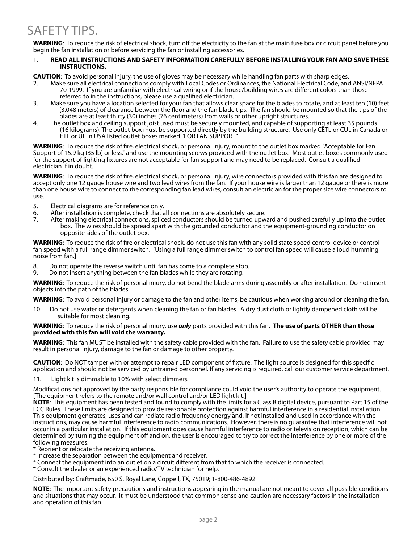**WARNING**: To reduce the risk of electrical shock, turn off the electricity to the fan at the main fuse box or circuit panel before you begin the fan installation or before servicing the fan or installing accessories.

#### 1. **READ ALL INSTRUCTIONS AND SAFETY INFORMATION CAREFULLY BEFORE INSTALLING YOUR FAN AND SAVE THESE INSTRUCTIONS.**

**CAUTION**: To avoid personal injury, the use of gloves may be necessary while handling fan parts with sharp edges.

- 2. Make sure all electrical connections comply with Local Codes or Ordinances, the National Electrical Code, and ANSI/NFPA 70-1999. If you are unfamiliar with electrical wiring or if the house/building wires are different colors than those referred to in the instructions, please use a qualified electrician.
- 3. Make sure you have a location selected for your fan that allows clear space for the blades to rotate, and at least ten (10) feet (3.048 meters) of clearance between the floor and the fan blade tips. The fan should be mounted so that the tips of the blades are at least thirty (30) inches (76 centimeters) from walls or other upright structures.
- 4. The outlet box and ceiling support joist used must be securely mounted, and capable of supporting at least 35 pounds (16 kilograms). The outlet box must be supported directly by the building structure. Use only CETL or CUL in Canada or ETL or UL in USA listed outlet boxes marked "FOR FAN SUPPORT."

**WARNING**: To reduce the risk of fire, electrical shock, or personal injury, mount to the outlet box marked "Acceptable for Fan Support of 15.9 kg (35 lb) or less," and use the mounting screws provided with the outlet box. Most outlet boxes commonly used for the support of lighting fixtures are not acceptable for fan support and may need to be replaced. Consult a qualified electrician if in doubt.

**WARNING**: To reduce the risk of fire, electrical shock, or personal injury, wire connectors provided with this fan are designed to accept only one 12 gauge house wire and two lead wires from the fan. If your house wire is larger than 12 gauge or there is more than one house wire to connect to the corresponding fan lead wires, consult an electrician for the proper size wire connectors to use.

- 5. Electrical diagrams are for reference only.
- 6. After installation is complete, check that all connections are absolutely secure.
- After making electrical connections, spliced conductors should be turned upward and pushed carefully up into the outlet box. The wires should be spread apart with the grounded conductor and the equipment-grounding conductor on opposite sides of the outlet box.

**WARNING**: To reduce the risk of fire or electrical shock, do not use this fan with any solid state speed control device or control fan speed with a full range dimmer switch. [Using a full range dimmer switch to control fan speed will cause a loud humming noise from fan.]

- 8. Do not operate the reverse switch until fan has come to a complete stop.
- 9. Do not insert anything between the fan blades while they are rotating. 9.

**WARNING**: To reduce the risk of personal injury, do not bend the blade arms during assembly or after installation. Do not insert objects into the path of the blades.

**WARNING**: To avoid personal injury or damage to the fan and other items, be cautious when working around or cleaning the fan.

10. Do not use water or detergents when cleaning the fan or fan blades. A dry dust cloth or lightly dampened cloth will be suitable for most cleaning.

#### **WARNING**: To reduce the risk of personal injury, use *only* parts provided with this fan. **The use of parts OTHER than those provided with this fan will void the warranty.**

**WARNING**: This fan MUST be installed with the safety cable provided with the fan. Failure to use the safety cable provided may result in personal injury, damage to the fan or damage to other property.

**CAUTION**: Do NOT tamper with or attempt to repair LED component of fixture. The light source is designed for this specific application and should not be serviced by untrained personnel. If any servicing is required, call our customer service department.

11. Light kit is dimmable to 10% with select dimmers.

Modifications not approved by the party responsible for compliance could void the user's authority to operate the equipment. [The equipment refers to the remote and/or wall control and/or LED light kit.]

**NOTE**: This equipment has been tested and found to comply with the limits for a Class B digital device, pursuant to Part 15 of the FCC Rules. These limits are designed to provide reasonable protection against harmful interference in a residential installation. This equipment generates, uses and can radiate radio frequency energy and, if not installed and used in accordance with the instructions, may cause harmful interference to radio communications. However, there is no guarantee that interference will not occur in a particular installation. If this equipment does cause harmful interference to radio or television reception, which can be determined by turning the equipment off and on, the user is encouraged to try to correct the interference by one or more of the following measures:

\* Reorient or relocate the receiving antenna.

\* Increase the separation between the equipment and receiver.

- \* Connect the equipment into an outlet on a circuit different from that to which the receiver is connected.
- \* Consult the dealer or an experienced radio/TV technician for help.

Distributed by: Craftmade, 650 S. Royal Lane, Coppell, TX, 75019; 1-800-486-4892

**NOTE**: The important safety precautions and instructions appearing in the manual are not meant to cover all possible conditions and situations that may occur. It must be understood that common sense and caution are necessary factors in the installation and operation of this fan.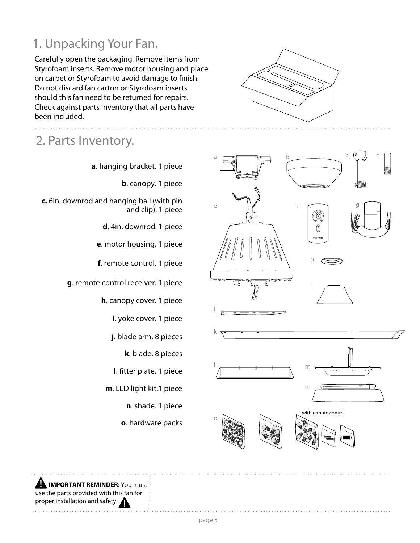### 1. Unpacking Your Fan.

Carefully open the packaging. Remove items from Styrofoam inserts. Remove motor housing and place on carpet or Styrofoam to avoid damage to finish. Do not discard fan carton or Styrofoam inserts should this fan need to be returned for repairs. Check against parts inventory that all parts have been included.

### 2. Parts Inventory.

**a**. hanging bracket. 1 piece

**b**. canopy. 1 piece

**c.** 6in. downrod and hanging ball (with pin and clip). 1 piece

**d.** 4in. downrod. 1 piece

**e**. motor housing. 1 piece

**f**. remote control. 1 piece

**g**. remote control receiver. 1 piece

**h**. canopy cover. 1 piece

**i**. yoke cover. 1 piece

**j**. blade arm. 8 pieces

**k**. blade. 8 pieces

**l**. fitter plate. 1 piece

**m**. LED light kit.1 piece

**n**. shade. 1 piece

**o**. hardware packs





**AN IMPORTANT REMINDER:** You must use the parts provided with this fan for proper installation and safety.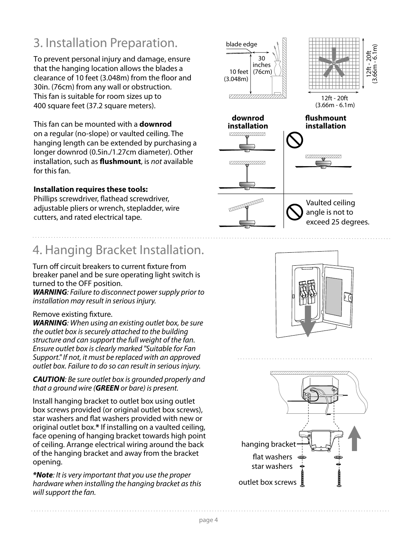### 3. Installation Preparation.

To prevent personal injury and damage, ensure that the hanging location allows the blades a clearance of 10 feet (3.048m) from the floor and 30in. (76cm) from any wall or obstruction. This fan is suitable for room sizes up to 400 square feet (37.2 square meters).

This fan can be mounted with a **downrod** on a regular (no-slope) or vaulted ceiling. The hanging length can be extended by purchasing a longer downrod (0.5in./1.27cm diameter). Other installation, such as **flushmount**, is not available for this fan.

#### **Installation requires these tools:**

Phillips screwdriver, flathead screwdriver, adjustable pliers or wrench, stepladder, wire cutters, and rated electrical tape.

### 4. Hanging Bracket Installation.

Turn off circuit breakers to current fixture from breaker panel and be sure operating light switch is turned to the OFF position.

*WARNING*: Failure to disconnect power supply prior to installation may result in serious injury.

#### Remove existing fixture.

*WARNING*: When using an existing outlet box, be sure the outlet box is securely attached to the building structure and can support the full weight of the fan. Ensure outlet box is clearly marked "Suitable for Fan Support." If not, it must be replaced with an approved outlet box. Failure to do so can result in serious injury.

*CAUTION*: Be sure outlet box is grounded properly and that a ground wire (*GREEN* or bare) is present.

Install hanging bracket to outlet box using outlet box screws provided (or original outlet box screws), star washers and flat washers provided with new or original outlet box.**\*** If installing on a vaulted ceiling, face opening of hanging bracket towards high point of ceiling. Arrange electrical wiring around the back of the hanging bracket and away from the bracket opening.

*\*Note*: It is very important that you use the proper hardware when installing the hanging bracket as this will support the fan.





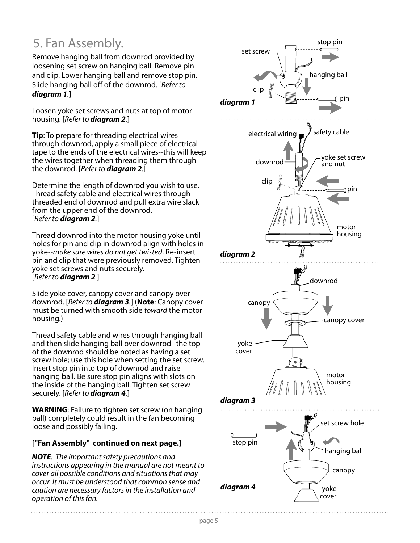### 5. Fan Assembly.

Remove hanging ball from downrod provided by loosening set screw on hanging ball. Remove pin and clip. Lower hanging ball and remove stop pin. Slide hanging ball off of the downrod. [Refer to *diagram 1*.]

Loosen yoke set screws and nuts at top of motor housing. [Refer to *diagram 2*.]

**Tip**: To prepare for threading electrical wires through downrod, apply a small piece of electrical tape to the ends of the electrical wires--this will keep the wires together when threading them through the downrod. [Refer to *diagram 2*.]

Determine the length of downrod you wish to use. Thread safety cable and electrical wires through threaded end of downrod and pull extra wire slack from the upper end of the downrod. [Refer to *diagram 2*.]

Thread downrod into the motor housing yoke until holes for pin and clip in downrod align with holes in yoke--make sure wires do not get twisted. Re-insert pin and clip that were previously removed. Tighten yoke set screws and nuts securely. [Refer to *diagram 2*.]

Slide yoke cover, canopy cover and canopy over downrod. [Refer to *diagram 3*.] (**Note**: Canopy cover must be turned with smooth side toward the motor housing.)

Thread safety cable and wires through hanging ball and then slide hanging ball over downrod--the top of the downrod should be noted as having a set screw hole; use this hole when setting the set screw. Insert stop pin into top of downrod and raise hanging ball. Be sure stop pin aligns with slots on the inside of the hanging ball. Tighten set screw securely. [Refer to *diagram 4*.]

**WARNING**: Failure to tighten set screw (on hanging ball) completely could result in the fan becoming loose and possibly falling.

#### **["Fan Assembly" continued on next page.]**

*NOTE*: The important safety precautions and instructions appearing in the manual are not meant to cover all possible conditions and situations that may occur. It must be understood that common sense and caution are necessary factors in the installation and operation of this fan.

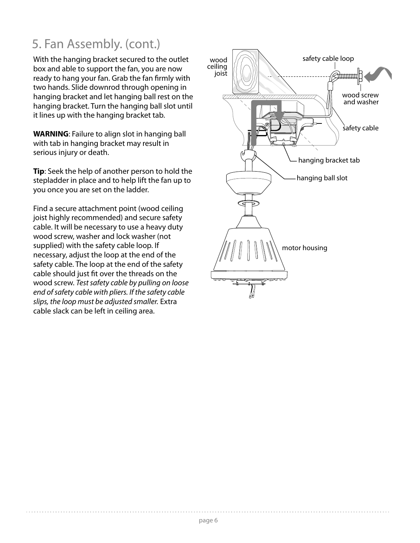### 5. Fan Assembly. (cont.)

With the hanging bracket secured to the outlet safety cable loop box and able to support the fan, you are now ready to hang your fan. Grab the fan firmly with two hands. Slide downrod through opening in hanging bracket and let hanging ball rest on the hanging bracket. Turn the hanging ball slot until it lines up with the hanging bracket tab.

**WARNING**: Failure to align slot in hanging ball with tab in hanging bracket may result in serious injury or death.

**Tip**: Seek the help of another person to hold the stepladder in place and to help lift the fan up to you once you are set on the ladder.

Find a secure attachment point (wood ceiling joist highly recommended) and secure safety cable. It will be necessary to use a heavy duty wood screw, washer and lock washer (not supplied) with the safety cable loop. If necessary, adjust the loop at the end of the safety cable. The loop at the end of the safety cable should just fit over the threads on the wood screw. Test safety cable by pulling on loose end of safety cable with pliers. If the safety cable slips, the loop must be adjusted smaller. Extra cable slack can be left in ceiling area.

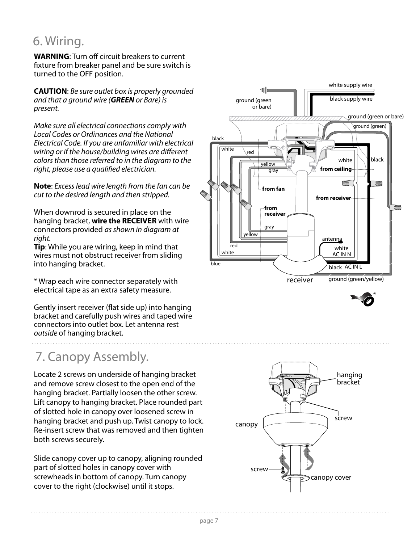#### 6. Wiring.

**WARNING**: Turn off circuit breakers to current fixture from breaker panel and be sure switch is turned to the OFF position.

**CAUTION**: Be sure outlet box is properly grounded and that a ground wire (*GREEN* or Bare) is present.

Make sure all electrical connections comply with Local Codes or Ordinances and the National Electrical Code. If you are unfamiliar with electrical wiring or if the house/building wires are different colors than those referred to in the diagram to the right, please use a qualified electrician.

**Note**: Excess lead wire length from the fan can be cut to the desired length and then stripped.

When downrod is secured in place on the hanging bracket, **wire the RECEIVER** with wire connectors provided as shown in diagram at right.

**Tip**: While you are wiring, keep in mind that wires must not obstruct receiver from sliding into hanging bracket.

\* Wrap each wire connector separately with electrical tape as an extra safety measure.

Gently insert receiver (flat side up) into hanging bracket and carefully push wires and taped wire connectors into outlet box. Let antenna rest outside of hanging bracket.

### 7. Canopy Assembly.

Locate 2 screws on underside of hanging bracket and remove screw closest to the open end of the hanging bracket. Partially loosen the other screw. Lift canopy to hanging bracket. Place rounded part of slotted hole in canopy over loosened screw in hanging bracket and push up. Twist canopy to lock. Re-insert screw that was removed and then tighten both screws securely.

Slide canopy cover up to canopy, aligning rounded part of slotted holes in canopy cover with screwheads in bottom of canopy. Turn canopy cover to the right (clockwise) until it stops.



ground (green/yellow) receiver



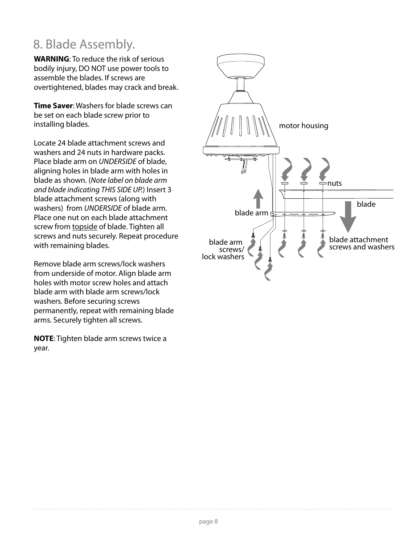### 8. Blade Assembly.

**WARNING**: To reduce the risk of serious bodily injury, DO NOT use power tools to assemble the blades. If screws are overtightened, blades may crack and break.

**Time Saver**: Washers for blade screws can be set on each blade screw prior to installing blades.

Locate 24 blade attachment screws and washers and 24 nuts in hardware packs. Place blade arm on UNDERSIDE of blade, aligning holes in blade arm with holes in blade as shown. (Note label on blade arm and blade indicating THIS SIDE UP.) Insert 3 blade attachment screws (along with washers) from UNDERSIDE of blade arm. Place one nut on each blade attachment screw from topside of blade. Tighten all screws and nuts securely. Repeat procedure with remaining blades.

Remove blade arm screws/lock washers from underside of motor. Align blade arm holes with motor screw holes and attach blade arm with blade arm screws/lock washers. Before securing screws permanently, repeat with remaining blade arms. Securely tighten all screws.

**NOTE**: Tighten blade arm screws twice a year.

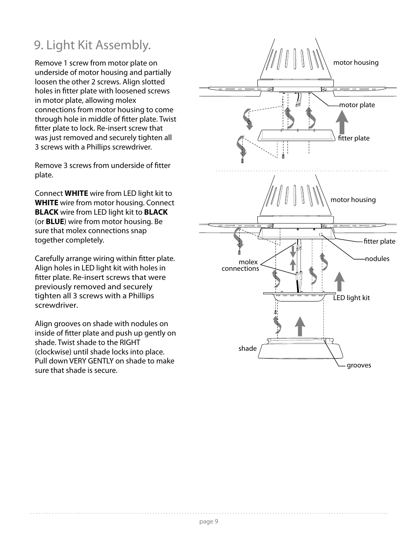### 9. Light Kit Assembly.

Remove 1 screw from motor plate on underside of motor housing and partially loosen the other 2 screws. Align slotted holes in fitter plate with loosened screws in motor plate, allowing molex connections from motor housing to come through hole in middle of fitter plate. Twist fitter plate to lock. Re-insert screw that was just removed and securely tighten all 3 screws with a Phillips screwdriver.

Remove 3 screws from underside of fitter plate.

Connect **WHITE** wire from LED light kit to **WHITE** wire from motor housing. Connect **BLACK** wire from LED light kit to **BLACK** (or **BLUE**) wire from motor housing. Be sure that molex connections snap together completely.

Carefully arrange wiring within fitter plate. Align holes in LED light kit with holes in fitter plate. Re-insert screws that were previously removed and securely tighten all 3 screws with a Phillips screwdriver.

Align grooves on shade with nodules on inside of fitter plate and push up gently on shade. Twist shade to the RIGHT (clockwise) until shade locks into place. Pull down VERY GENTLY on shade to make sure that shade is secure.

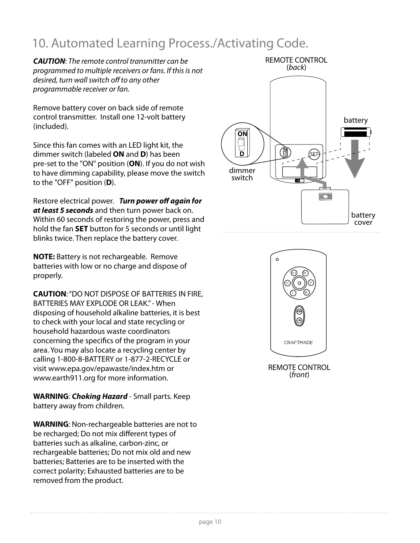### 10. Automated Learning Process./Activating Code.

*CAUTION*: The remote control transmitter can be programmed to multiple receivers or fans. If this is not desired, turn wall switch off to any other programmable receiver or fan.

Remove battery cover on back side of remote control transmitter. Install one 12-volt battery (included).

Since this fan comes with an LED light kit, the dimmer switch (labeled **ON** and **D**) has been pre-set to the "ON" position (**ON**). If you do not wish to have dimming capability, please move the switch to the "OFF" position (**D**).

Restore electrical power. *Turn power off again for at least 5 seconds* and then turn power back on. Within 60 seconds of restoring the power, press and hold the fan **SET** button for 5 seconds or until light blinks twice. Then replace the battery cover.

**NOTE:** Battery is not rechargeable. Remove batteries with low or no charge and dispose of properly.

**CAUTION**: "DO NOT DISPOSE OF BATTERIES IN FIRE, BATTERIES MAY EXPLODE OR LEAK." - When disposing of household alkaline batteries, it is best to check with your local and state recycling or household hazardous waste coordinators concerning the specifics of the program in your area. You may also locate a recycling center by calling 1-800-8-BATTERY or 1-877-2-RECYCLE or visit www.epa.gov/epawaste/index.htm or www.earth911.org for more information.

**WARNING**: *Choking Hazard* - Small parts. Keep battery away from children.

**WARNING**: Non-rechargeable batteries are not to be recharged; Do not mix different types of batteries such as alkaline, carbon-zinc, or rechargeable batteries; Do not mix old and new batteries; Batteries are to be inserted with the correct polarity; Exhausted batteries are to be removed from the product.





REMOTE CONTROL (front)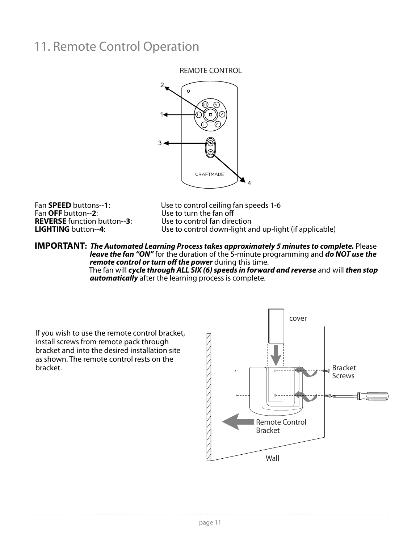#### 11. Remote Control Operation

REMOTE CONTROL



**REVERSE** function button--3:<br>**LIGHTING** button--4:

Fan **SPEED** buttons--1:<br>
Fan **OFF** button--2:<br>
Use to turn the fan off Use to turn the fan off<br>Use to control fan direction Use to control down-light and up-light (if applicable)

**IMPORTANT:** *The Automated Learning Process takes approximately 5 minutes to complete.* Please *leave the fan "ON"* for the duration of the 5-minute programming and *do NOT use the remote control or turn off the power* during this time. The fan will *cycle through ALL SIX (6) speeds in forward and reverse* and will *then stop automatically* after the learning process is complete.

If you wish to use the remote control bracket, install screws from remote pack through bracket and into the desired installation site as shown. The remote control rests on the bracket.

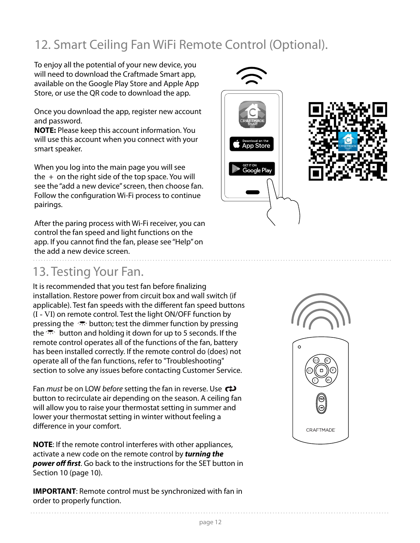### 12. Smart Ceiling Fan WiFi Remote Control (Optional).

To enjoy all the potential of your new device, you will need to download the Craftmade Smart app, available on the Google Play Store and Apple App Store, or use the QR code to download the app.

Once you download the app, register new account and password.

**NOTE:** Please keep this account information. You will use this account when you connect with your smart speaker.

When you log into the main page you will see the  $+$  on the right side of the top space. You will see the "add a new device" screen, then choose fan. Follow the configuration Wi-Fi process to continue pairings.

After the paring process with Wi-Fi receiver, you can control the fan speed and light functions on the app. If you cannot find the fan, please see "Help" on the add a new device screen.

#### 13. Testing Your Fan.

It is recommended that you test fan before finalizing installation. Restore power from circuit box and wall switch (if applicable). Test fan speeds with the different fan speed buttons (I - VI) on remote control. Test the light ON/OFF function by pressing the  $\sqrt{2}$  button; test the dimmer function by pressing the  $\mathbb{R}^n$  button and holding it down for up to 5 seconds. If the remote control operates all of the functions of the fan, battery has been installed correctly. If the remote control do (does) not operate all of the fan functions, refer to "Troubleshooting" section to solve any issues before contacting Customer Service.

Fan *must* be on LOW *before* setting the fan in reverse. Use  $\leftrightarrow$ button to recirculate air depending on the season. A ceiling fan will allow you to raise your thermostat setting in summer and lower your thermostat setting in winter without feeling a difference in your comfort.

**NOTE**: If the remote control interferes with other appliances, activate a new code on the remote control by *turning the power off first*. Go back to the instructions for the SET button in Section 10 (page 10).

**IMPORTANT**: Remote control must be synchronized with fan in order to properly function.